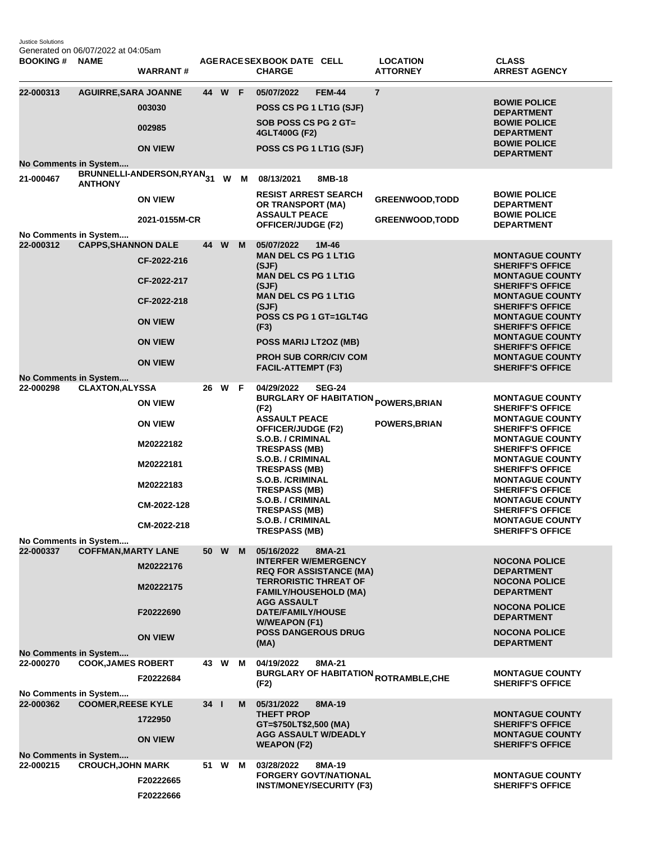Justice Solutions Generated on 06/07/2022 at 04:05am

| <b>BOOKING#</b>                                                    | <b>NAME</b>                 | <b>WARRANT#</b>                                                                                       |              |        |     | AGERACE SEX BOOK DATE CELL<br><b>CHARGE</b>                                                                                                                                                                                                                                                                    |               | <b>LOCATION</b><br><b>ATTORNEY</b>                                            | <b>CLASS</b><br><b>ARREST AGENCY</b>                                                                                                                                                                                                                                                                                                                                            |
|--------------------------------------------------------------------|-----------------------------|-------------------------------------------------------------------------------------------------------|--------------|--------|-----|----------------------------------------------------------------------------------------------------------------------------------------------------------------------------------------------------------------------------------------------------------------------------------------------------------------|---------------|-------------------------------------------------------------------------------|---------------------------------------------------------------------------------------------------------------------------------------------------------------------------------------------------------------------------------------------------------------------------------------------------------------------------------------------------------------------------------|
| 22-000313<br><b>No Comments in System</b>                          | <b>AGUIRRE, SARA JOANNE</b> | 003030<br>002985<br><b>ON VIEW</b>                                                                    |              | 44 W F |     | 05/07/2022<br>POSS CS PG 1 LT1G (SJF)<br>SOB POSS CS PG 2 GT=<br>4GLT400G (F2)<br>POSS CS PG 1 LT1G (SJF)                                                                                                                                                                                                      | <b>FEM-44</b> | $\overline{7}$                                                                | <b>BOWIE POLICE</b><br><b>DEPARTMENT</b><br><b>BOWIE POLICE</b><br><b>DEPARTMENT</b><br><b>BOWIE POLICE</b><br><b>DEPARTMENT</b>                                                                                                                                                                                                                                                |
| 21-000467                                                          | <b>ANTHONY</b>              | BRUNNELLI-ANDERSON,RYAN31<br><b>ON VIEW</b><br>2021-0155M-CR                                          |              |        | W M | 08/13/2021<br><b>RESIST ARREST SEARCH</b><br>OR TRANSPORT (MA)<br><b>ASSAULT PEACE</b><br>OFFICER/JUDGE (F2)                                                                                                                                                                                                   | 8MB-18        | <b>GREENWOOD, TODD</b><br><b>GREENWOOD, TODD</b>                              | <b>BOWIE POLICE</b><br><b>DEPARTMENT</b><br><b>BOWIE POLICE</b><br><b>DEPARTMENT</b>                                                                                                                                                                                                                                                                                            |
| No Comments in System<br>22-000312<br><b>No Comments in System</b> | <b>CAPPS, SHANNON DALE</b>  | CF-2022-216<br>CF-2022-217<br>CF-2022-218<br><b>ON VIEW</b><br><b>ON VIEW</b><br><b>ON VIEW</b>       |              | 44 W   | M   | 05/07/2022<br><b>MAN DEL CS PG 1 LT1G</b><br>(SJF)<br><b>MAN DEL CS PG 1 LT1G</b><br>(SJF)<br><b>MAN DEL CS PG 1 LT1G</b><br>(SJF)<br>POSS CS PG 1 GT=1GLT4G<br>(F3)<br>POSS MARIJ LT2OZ (MB)<br><b>PROH SUB CORR/CIV COM</b><br><b>FACIL-ATTEMPT (F3)</b>                                                     | $1M-46$       |                                                                               | <b>MONTAGUE COUNTY</b><br><b>SHERIFF'S OFFICE</b><br><b>MONTAGUE COUNTY</b><br><b>SHERIFF'S OFFICE</b><br><b>MONTAGUE COUNTY</b><br><b>SHERIFF'S OFFICE</b><br><b>MONTAGUE COUNTY</b><br><b>SHERIFF'S OFFICE</b><br><b>MONTAGUE COUNTY</b><br><b>SHERIFF'S OFFICE</b><br><b>MONTAGUE COUNTY</b><br><b>SHERIFF'S OFFICE</b>                                                      |
| 22-000298                                                          | <b>CLAXTON, ALYSSA</b>      | <b>ON VIEW</b><br><b>ON VIEW</b><br>M20222182<br>M20222181<br>M20222183<br>CM-2022-128<br>CM-2022-218 |              | 26 W   | F   | 04/29/2022<br>(F2)<br><b>ASSAULT PEACE</b><br><b>OFFICER/JUDGE (F2)</b><br>S.O.B. / CRIMINAL<br><b>TRESPASS (MB)</b><br>S.O.B. / CRIMINAL<br><b>TRESPASS (MB)</b><br><b>S.O.B. /CRIMINAL</b><br><b>TRESPASS (MB)</b><br>S.O.B. / CRIMINAL<br><b>TRESPASS (MB)</b><br>S.O.B. / CRIMINAL<br><b>TRESPASS (MB)</b> | <b>SEG-24</b> | <b>BURGLARY OF HABITATION <sub>POWERS,BRIAN</sub></b><br><b>POWERS, BRIAN</b> | <b>MONTAGUE COUNTY</b><br><b>SHERIFF'S OFFICE</b><br><b>MONTAGUE COUNTY</b><br><b>SHERIFF'S OFFICE</b><br><b>MONTAGUE COUNTY</b><br><b>SHERIFF'S OFFICE</b><br><b>MONTAGUE COUNTY</b><br><b>SHERIFF'S OFFICE</b><br><b>MONTAGUE COUNTY</b><br><b>SHERIFF'S OFFICE</b><br><b>MONTAGUE COUNTY</b><br><b>SHERIFF'S OFFICE</b><br><b>MONTAGUE COUNTY</b><br><b>SHERIFF'S OFFICE</b> |
| No Comments in System<br>22-000337<br><b>No Comments in System</b> | <b>COFFMAN, MARTY LANE</b>  | M20222176<br>M20222175<br>F20222690<br><b>ON VIEW</b>                                                 |              | 50 W   | M   | 05/16/2022<br><b>INTERFER W/EMERGENCY</b><br><b>REQ FOR ASSISTANCE (MA)</b><br><b>TERRORISTIC THREAT OF</b><br><b>FAMILY/HOUSEHOLD (MA)</b><br><b>AGG ASSAULT</b><br>DATE/FAMILY/HOUSE<br><b>W/WEAPON (F1)</b><br><b>POSS DANGEROUS DRUG</b><br>(MA)                                                           | 8MA-21        |                                                                               | <b>NOCONA POLICE</b><br><b>DEPARTMENT</b><br><b>NOCONA POLICE</b><br><b>DEPARTMENT</b><br><b>NOCONA POLICE</b><br><b>DEPARTMENT</b><br><b>NOCONA POLICE</b><br><b>DEPARTMENT</b>                                                                                                                                                                                                |
| 22-000270<br>No Comments in System                                 | <b>COOK, JAMES ROBERT</b>   | F20222684                                                                                             |              | 43 W   | M   | 04/19/2022<br>(F2)                                                                                                                                                                                                                                                                                             | 8MA-21        | <b>BURGLARY OF HABITATION <sub>ROTRAMBLE,CHE</sub></b>                        | <b>MONTAGUE COUNTY</b><br><b>SHERIFF'S OFFICE</b>                                                                                                                                                                                                                                                                                                                               |
| 22-000362<br><b>No Comments in System</b>                          | <b>COOMER, REESE KYLE</b>   | 1722950<br><b>ON VIEW</b>                                                                             | $34$ $\vert$ |        | M   | 05/31/2022<br><b>THEFT PROP</b><br>GT=\$750LT\$2,500 (MA)<br><b>AGG ASSAULT W/DEADLY</b><br><b>WEAPON (F2)</b>                                                                                                                                                                                                 | 8MA-19        |                                                                               | <b>MONTAGUE COUNTY</b><br><b>SHERIFF'S OFFICE</b><br><b>MONTAGUE COUNTY</b><br><b>SHERIFF'S OFFICE</b>                                                                                                                                                                                                                                                                          |
| 22-000215                                                          | <b>CROUCH, JOHN MARK</b>    | F20222665<br>F20222666                                                                                |              | 51 W M |     | 03/28/2022<br><b>FORGERY GOVT/NATIONAL</b><br><b>INST/MONEY/SECURITY (F3)</b>                                                                                                                                                                                                                                  | 8MA-19        |                                                                               | <b>MONTAGUE COUNTY</b><br><b>SHERIFF'S OFFICE</b>                                                                                                                                                                                                                                                                                                                               |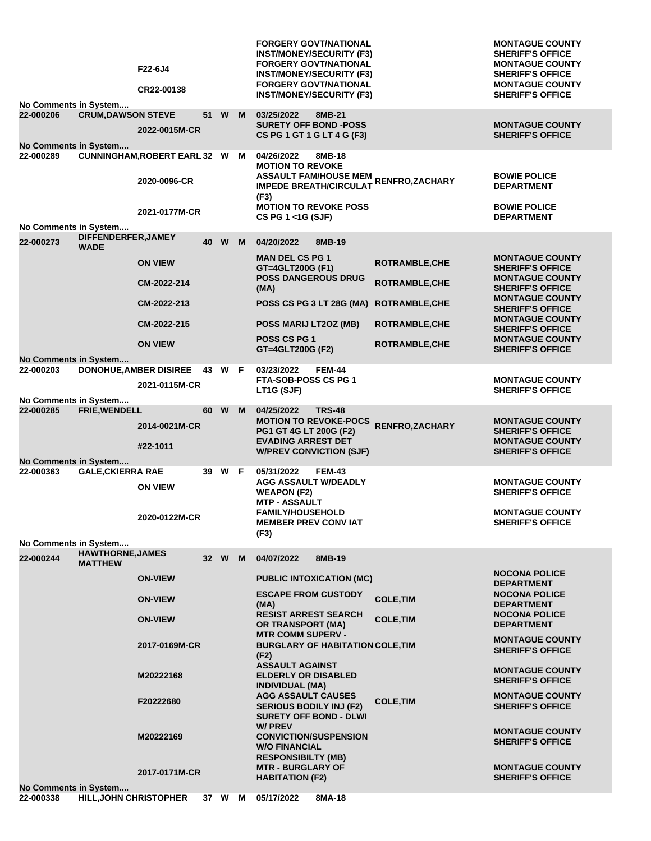| No Comments in System                     | F22-6J4<br>CR22-00138                     |      |        |        | <b>FORGERY GOVT/NATIONAL</b><br><b>INST/MONEY/SECURITY (F3)</b><br><b>FORGERY GOVT/NATIONAL</b><br><b>INST/MONEY/SECURITY (F3)</b><br><b>FORGERY GOVT/NATIONAL</b><br><b>INST/MONEY/SECURITY (F3)</b> |                        | <b>MONTAGUE COUNTY</b><br><b>SHERIFF'S OFFICE</b><br><b>MONTAGUE COUNTY</b><br><b>SHERIFF'S OFFICE</b><br><b>MONTAGUE COUNTY</b><br><b>SHERIFF'S OFFICE</b> |
|-------------------------------------------|-------------------------------------------|------|--------|--------|-------------------------------------------------------------------------------------------------------------------------------------------------------------------------------------------------------|------------------------|-------------------------------------------------------------------------------------------------------------------------------------------------------------|
| 22-000206                                 | <b>CRUM, DAWSON STEVE</b>                 | 51 W |        | M      | 03/25/2022<br>8MB-21                                                                                                                                                                                  |                        |                                                                                                                                                             |
| <b>No Comments in System</b>              | 2022-0015M-CR                             |      |        |        | <b>SURETY OFF BOND -POSS</b><br>CS PG 1 GT 1 G LT 4 G (F3)                                                                                                                                            |                        | <b>MONTAGUE COUNTY</b><br><b>SHERIFF'S OFFICE</b>                                                                                                           |
| 22-000289                                 | <b>CUNNINGHAM, ROBERT EARL 32 W</b>       |      |        | м      | 04/26/2022<br>8MB-18<br><b>MOTION TO REVOKE</b><br><b>ASSAULT FAM/HOUSE MEM</b>                                                                                                                       |                        | <b>BOWIE POLICE</b>                                                                                                                                         |
|                                           | 2020-0096-CR                              |      |        |        | <b>IMPEDE BREATH/CIRCULAT</b><br>(F3)                                                                                                                                                                 | RENFRO, ZACHARY        | <b>DEPARTMENT</b>                                                                                                                                           |
| No Comments in System                     | 2021-0177M-CR                             |      |        |        | <b>MOTION TO REVOKE POSS</b><br>CS PG 1 <1G (SJF)                                                                                                                                                     |                        | <b>BOWIE POLICE</b><br><b>DEPARTMENT</b>                                                                                                                    |
| 22-000273                                 | DIFFENDERFER, JAMEY                       |      | 40 W M |        | 04/20/2022<br>8MB-19                                                                                                                                                                                  |                        |                                                                                                                                                             |
| <b>WADE</b>                               | <b>ON VIEW</b>                            |      |        |        | <b>MAN DEL CS PG 1</b><br>GT=4GLT200G (F1)                                                                                                                                                            | <b>ROTRAMBLE, CHE</b>  | <b>MONTAGUE COUNTY</b><br><b>SHERIFF'S OFFICE</b>                                                                                                           |
|                                           | CM-2022-214                               |      |        |        | <b>POSS DANGEROUS DRUG</b><br>(MA)                                                                                                                                                                    | <b>ROTRAMBLE, CHE</b>  | <b>MONTAGUE COUNTY</b><br><b>SHERIFF'S OFFICE</b>                                                                                                           |
|                                           | CM-2022-213                               |      |        |        | POSS CS PG 3 LT 28G (MA)                                                                                                                                                                              | <b>ROTRAMBLE, CHE</b>  | <b>MONTAGUE COUNTY</b><br><b>SHERIFF'S OFFICE</b>                                                                                                           |
|                                           | CM-2022-215                               |      |        |        | POSS MARIJ LT2OZ (MB)                                                                                                                                                                                 | <b>ROTRAMBLE, CHE</b>  | <b>MONTAGUE COUNTY</b><br><b>SHERIFF'S OFFICE</b>                                                                                                           |
|                                           | <b>ON VIEW</b>                            |      |        |        | <b>POSS CS PG 1</b><br>GT=4GLT200G (F2)                                                                                                                                                               | <b>ROTRAMBLE, CHE</b>  | <b>MONTAGUE COUNTY</b><br><b>SHERIFF'S OFFICE</b>                                                                                                           |
| <b>No Comments in System</b><br>22-000203 | <b>DONOHUE, AMBER DISIREE</b>             | 43   | W F    |        | 03/23/2022<br><b>FEM-44</b>                                                                                                                                                                           |                        |                                                                                                                                                             |
|                                           | 2021-0115M-CR                             |      |        |        | FTA-SOB-POSS CS PG 1<br>LT1G (SJF)                                                                                                                                                                    |                        | <b>MONTAGUE COUNTY</b><br><b>SHERIFF'S OFFICE</b>                                                                                                           |
| No Comments in System<br>22-000285        | FRIE, WENDELL                             |      | 60 W   | M      | <b>TRS-48</b><br>04/25/2022                                                                                                                                                                           |                        |                                                                                                                                                             |
|                                           | 2014-0021M-CR<br>#22-1011                 |      |        |        | <b>MOTION TO REVOKE-POCS</b><br>PG1 GT 4G LT 200G (F2)<br><b>EVADING ARREST DET</b>                                                                                                                   | <b>RENFRO, ZACHARY</b> | <b>MONTAGUE COUNTY</b><br><b>SHERIFF'S OFFICE</b><br><b>MONTAGUE COUNTY</b>                                                                                 |
| No Comments in System                     |                                           |      |        |        | <b>W/PREV CONVICTION (SJF)</b>                                                                                                                                                                        |                        | <b>SHERIFF'S OFFICE</b>                                                                                                                                     |
| 22-000363                                 | <b>GALE, CKIERRA RAE</b>                  | 39   | W F    |        | 05/31/2022<br><b>FEM-43</b>                                                                                                                                                                           |                        |                                                                                                                                                             |
|                                           | <b>ON VIEW</b>                            |      |        |        | <b>AGG ASSAULT W/DEADLY</b><br><b>WEAPON (F2)</b><br><b>MTP - ASSAULT</b>                                                                                                                             |                        | <b>MONTAGUE COUNTY</b><br><b>SHERIFF'S OFFICE</b>                                                                                                           |
|                                           | 2020-0122M-CR                             |      |        |        | <b>FAMILY/HOUSEHOLD</b><br><b>MEMBER PREV CONVIAT</b><br>(F3)                                                                                                                                         |                        | <b>MONTAGUE COUNTY</b><br><b>SHERIFF'S OFFICE</b>                                                                                                           |
| No Comments in System                     |                                           |      |        |        |                                                                                                                                                                                                       |                        |                                                                                                                                                             |
| 22-000244                                 | <b>HAWTHORNE, JAMES</b><br><b>MATTHEW</b> |      | 32 W   | M      | 04/07/2022<br>8MB-19                                                                                                                                                                                  |                        |                                                                                                                                                             |
|                                           | <b>ON-VIEW</b>                            |      |        |        | <b>PUBLIC INTOXICATION (MC)</b>                                                                                                                                                                       |                        | <b>NOCONA POLICE</b><br><b>DEPARTMENT</b>                                                                                                                   |
|                                           | <b>ON-VIEW</b>                            |      |        |        | <b>ESCAPE FROM CUSTODY</b><br>(MA)                                                                                                                                                                    | <b>COLE, TIM</b>       | <b>NOCONA POLICE</b><br><b>DEPARTMENT</b>                                                                                                                   |
|                                           | <b>ON-VIEW</b>                            |      |        |        | <b>RESIST ARREST SEARCH</b><br><b>OR TRANSPORT (MA)</b>                                                                                                                                               | <b>COLE, TIM</b>       | <b>NOCONA POLICE</b><br><b>DEPARTMENT</b>                                                                                                                   |
|                                           | 2017-0169M-CR                             |      |        |        | <b>MTR COMM SUPERV -</b><br><b>BURGLARY OF HABITATION COLE, TIM</b><br>(F2)                                                                                                                           |                        | <b>MONTAGUE COUNTY</b><br><b>SHERIFF'S OFFICE</b>                                                                                                           |
|                                           | M20222168                                 |      |        |        | <b>ASSAULT AGAINST</b><br><b>ELDERLY OR DISABLED</b><br><b>INDIVIDUAL (MA)</b>                                                                                                                        |                        | <b>MONTAGUE COUNTY</b><br><b>SHERIFF'S OFFICE</b>                                                                                                           |
|                                           | F20222680                                 |      |        |        | <b>AGG ASSAULT CAUSES</b><br><b>SERIOUS BODILY INJ (F2)</b><br><b>SURETY OFF BOND - DLWI</b>                                                                                                          | <b>COLE, TIM</b>       | <b>MONTAGUE COUNTY</b><br><b>SHERIFF'S OFFICE</b>                                                                                                           |
|                                           | M20222169                                 |      |        |        | <b>W/PREV</b><br><b>CONVICTION/SUSPENSION</b><br><b>W/O FINANCIAL</b>                                                                                                                                 |                        | <b>MONTAGUE COUNTY</b><br><b>SHERIFF'S OFFICE</b>                                                                                                           |
|                                           | 2017-0171M-CR                             |      |        |        | <b>RESPONSIBILTY (MB)</b><br><b>MTR - BURGLARY OF</b><br><b>HABITATION (F2)</b>                                                                                                                       |                        | <b>MONTAGUE COUNTY</b><br><b>SHERIFF'S OFFICE</b>                                                                                                           |
| No Comments in System<br>22-000338        | HILL, JOHN CHRISTOPHER                    |      |        | 37 W M | 05/17/2022<br>8MA-18                                                                                                                                                                                  |                        |                                                                                                                                                             |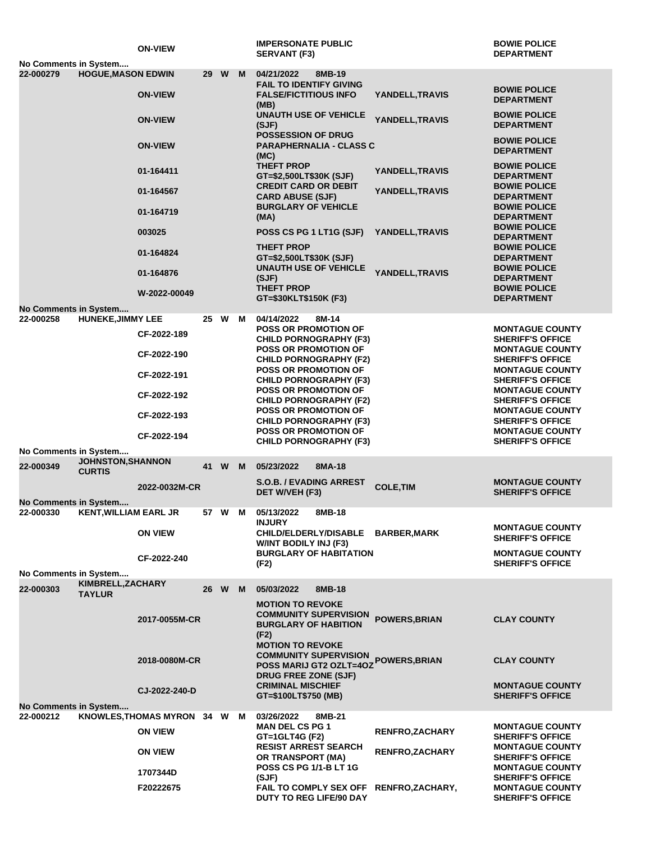|                                           |                                    | <b>ON-VIEW</b>               |    |        |   | <b>IMPERSONATE PUBLIC</b><br><b>SERVANT (F3)</b>                                               |                        | <b>BOWIE POLICE</b><br><b>DEPARTMENT</b>                                     |
|-------------------------------------------|------------------------------------|------------------------------|----|--------|---|------------------------------------------------------------------------------------------------|------------------------|------------------------------------------------------------------------------|
| No Comments in System<br>22-000279        | <b>HOGUE, MASON EDWIN</b>          |                              |    | 29 W M |   | 04/21/2022<br>8MB-19                                                                           |                        |                                                                              |
|                                           |                                    | <b>ON-VIEW</b>               |    |        |   | <b>FAIL TO IDENTIFY GIVING</b><br><b>FALSE/FICTITIOUS INFO</b>                                 | YANDELL, TRAVIS        | <b>BOWIE POLICE</b><br><b>DEPARTMENT</b>                                     |
|                                           |                                    | <b>ON-VIEW</b>               |    |        |   | (MB)<br><b>UNAUTH USE OF VEHICLE</b><br>(SJF)                                                  | YANDELL, TRAVIS        | <b>BOWIE POLICE</b><br><b>DEPARTMENT</b>                                     |
|                                           |                                    | <b>ON-VIEW</b>               |    |        |   | <b>POSSESSION OF DRUG</b><br><b>PARAPHERNALIA - CLASS C</b><br>(MC)                            |                        | <b>BOWIE POLICE</b><br><b>DEPARTMENT</b>                                     |
|                                           |                                    | 01-164411                    |    |        |   | <b>THEFT PROP</b><br>GT=\$2,500LT\$30K (SJF)                                                   | YANDELL, TRAVIS        | <b>BOWIE POLICE</b><br><b>DEPARTMENT</b>                                     |
|                                           |                                    | 01-164567                    |    |        |   | <b>CREDIT CARD OR DEBIT</b><br><b>CARD ABUSE (SJF)</b><br><b>BURGLARY OF VEHICLE</b>           | <b>YANDELL,TRAVIS</b>  | <b>BOWIE POLICE</b><br><b>DEPARTMENT</b><br><b>BOWIE POLICE</b>              |
|                                           |                                    | 01-164719<br>003025          |    |        |   | (MA)<br>POSS CS PG 1 LT1G (SJF)                                                                | YANDELL, TRAVIS        | <b>DEPARTMENT</b><br><b>BOWIE POLICE</b>                                     |
|                                           |                                    | 01-164824                    |    |        |   | <b>THEFT PROP</b><br>GT=\$2,500LT\$30K (SJF)                                                   |                        | <b>DEPARTMENT</b><br><b>BOWIE POLICE</b><br><b>DEPARTMENT</b>                |
|                                           |                                    | 01-164876                    |    |        |   | <b>UNAUTH USE OF VEHICLE</b><br>(SJF)                                                          | YANDELL, TRAVIS        | <b>BOWIE POLICE</b><br><b>DEPARTMENT</b>                                     |
| No Comments in System                     |                                    | W-2022-00049                 |    |        |   | <b>THEFT PROP</b><br>GT=\$30KLT\$150K (F3)                                                     |                        | <b>BOWIE POLICE</b><br><b>DEPARTMENT</b>                                     |
| 22-000258                                 | <b>HUNEKE, JIMMY LEE</b>           |                              | 25 | W      | M | 04/14/2022<br>8M-14                                                                            |                        |                                                                              |
|                                           |                                    | CF-2022-189                  |    |        |   | <b>POSS OR PROMOTION OF</b><br><b>CHILD PORNOGRAPHY (F3)</b>                                   |                        | <b>MONTAGUE COUNTY</b><br><b>SHERIFF'S OFFICE</b>                            |
|                                           |                                    | CF-2022-190                  |    |        |   | <b>POSS OR PROMOTION OF</b><br><b>CHILD PORNOGRAPHY (F2)</b><br><b>POSS OR PROMOTION OF</b>    |                        | <b>MONTAGUE COUNTY</b><br><b>SHERIFF'S OFFICE</b><br><b>MONTAGUE COUNTY</b>  |
|                                           |                                    | CF-2022-191<br>CF-2022-192   |    |        |   | <b>CHILD PORNOGRAPHY (F3)</b><br><b>POSS OR PROMOTION OF</b>                                   |                        | <b>SHERIFF'S OFFICE</b><br><b>MONTAGUE COUNTY</b>                            |
|                                           |                                    | CF-2022-193                  |    |        |   | <b>CHILD PORNOGRAPHY (F2)</b><br><b>POSS OR PROMOTION OF</b><br><b>CHILD PORNOGRAPHY (F3)</b>  |                        | <b>SHERIFF'S OFFICE</b><br><b>MONTAGUE COUNTY</b><br><b>SHERIFF'S OFFICE</b> |
|                                           |                                    | CF-2022-194                  |    |        |   | <b>POSS OR PROMOTION OF</b><br><b>CHILD PORNOGRAPHY (F3)</b>                                   |                        | <b>MONTAGUE COUNTY</b><br><b>SHERIFF'S OFFICE</b>                            |
| No Comments in System                     |                                    |                              |    |        |   |                                                                                                |                        |                                                                              |
| 22-000349                                 | JOHNSTON, SHANNON<br><b>CURTIS</b> |                              |    | 41 W M |   | 05/23/2022<br>8MA-18<br><b>S.O.B. / EVADING ARREST</b>                                         |                        | <b>MONTAGUE COUNTY</b>                                                       |
|                                           |                                    | 2022-0032M-CR                |    |        |   | DET W/VEH (F3)                                                                                 | <b>COLE, TIM</b>       | <b>SHERIFF'S OFFICE</b>                                                      |
| No Comments in System<br>22-000330        | <b>KENT, WILLIAM EARL JR</b>       |                              |    | 57 W M |   | 05/13/2022<br>8MB-18<br><b>INJURY</b>                                                          |                        |                                                                              |
|                                           |                                    | <b>ON VIEW</b>               |    |        |   | CHILD/ELDERLY/DISABLE BARBER, MARK<br><b>WINT BODILY INJ (F3)</b>                              |                        | <b>MONTAGUE COUNTY</b><br><b>SHERIFF'S OFFICE</b>                            |
|                                           |                                    | CF-2022-240                  |    |        |   | <b>BURGLARY OF HABITATION</b><br>(F2)                                                          |                        | <b>MONTAGUE COUNTY</b><br><b>SHERIFF'S OFFICE</b>                            |
| No Comments in System                     | KIMBRELL, ZACHARY                  |                              |    |        |   |                                                                                                |                        |                                                                              |
| 22-000303                                 | <b>TAYLUR</b>                      |                              |    | 26 W M |   | 05/03/2022<br>8MB-18<br><b>MOTION TO REVOKE</b>                                                |                        |                                                                              |
|                                           |                                    | 2017-0055M-CR                |    |        |   | <b>COMMUNITY SUPERVISION</b><br><b>BURGLARY OF HABITION</b><br>(F2)<br><b>MOTION TO REVOKE</b> | <b>POWERS, BRIAN</b>   | <b>CLAY COUNTY</b>                                                           |
|                                           |                                    | 2018-0080M-CR                |    |        |   | <b>COMMUNITY SUPERVISION</b><br>POSS MARIJ GT2 OZLT=4OZ<br><b>DRUG FREE ZONE (SJF)</b>         | <b>POWERS, BRIAN</b>   | <b>CLAY COUNTY</b>                                                           |
|                                           |                                    | CJ-2022-240-D                |    |        |   | <b>CRIMINAL MISCHIEF</b><br>GT=\$100LT\$750 (MB)                                               |                        | <b>MONTAGUE COUNTY</b><br><b>SHERIFF'S OFFICE</b>                            |
| <b>No Comments in System</b><br>22-000212 |                                    | KNOWLES, THOMAS MYRON 34 W M |    |        |   | 03/26/2022<br>8MB-21                                                                           |                        |                                                                              |
|                                           |                                    | <b>ON VIEW</b>               |    |        |   | <b>MAN DEL CS PG 1</b><br>GT=1GLT4G (F2)                                                       | <b>RENFRO, ZACHARY</b> | <b>MONTAGUE COUNTY</b><br><b>SHERIFF'S OFFICE</b>                            |
|                                           |                                    | <b>ON VIEW</b>               |    |        |   | <b>RESIST ARREST SEARCH</b><br>OR TRANSPORT (MA)                                               | <b>RENFRO, ZACHARY</b> | <b>MONTAGUE COUNTY</b><br><b>SHERIFF'S OFFICE</b>                            |
|                                           |                                    | 1707344D                     |    |        |   | <b>POSS CS PG 1/1-B LT 1G</b><br>(SJF)                                                         |                        | <b>MONTAGUE COUNTY</b><br><b>SHERIFF'S OFFICE</b>                            |
|                                           |                                    | F20222675                    |    |        |   | FAIL TO COMPLY SEX OFF RENFRO, ZACHARY,<br><b>DUTY TO REG LIFE/90 DAY</b>                      |                        | <b>MONTAGUE COUNTY</b><br><b>SHERIFF'S OFFICE</b>                            |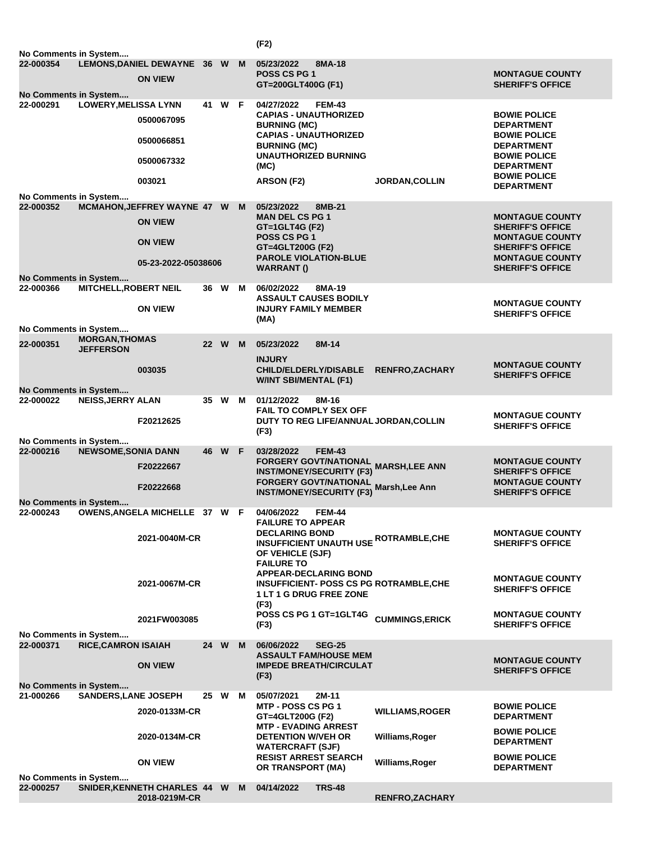|                                    |                                           |                                         |      |        |   | (F2)                                                         |               |                                                              |                                                   |
|------------------------------------|-------------------------------------------|-----------------------------------------|------|--------|---|--------------------------------------------------------------|---------------|--------------------------------------------------------------|---------------------------------------------------|
| No Comments in System<br>22-000354 |                                           | LEMONS, DANIEL DEWAYNE 36 W             |      |        | M | 05/23/2022                                                   | 8MA-18        |                                                              |                                                   |
|                                    |                                           | <b>ON VIEW</b>                          |      |        |   | <b>POSS CS PG 1</b><br>GT=200GLT400G (F1)                    |               |                                                              | <b>MONTAGUE COUNTY</b><br><b>SHERIFF'S OFFICE</b> |
| No Comments in System<br>22-000291 | <b>LOWERY, MELISSA LYNN</b>               |                                         |      | 41 W F |   | 04/27/2022                                                   | <b>FEM-43</b> |                                                              |                                                   |
|                                    |                                           | 0500067095                              |      |        |   | <b>CAPIAS - UNAUTHORIZED</b>                                 |               |                                                              | <b>BOWIE POLICE</b>                               |
|                                    |                                           |                                         |      |        |   | <b>BURNING (MC)</b><br><b>CAPIAS - UNAUTHORIZED</b>          |               |                                                              | <b>DEPARTMENT</b><br><b>BOWIE POLICE</b>          |
|                                    |                                           | 0500066851                              |      |        |   | <b>BURNING (MC)</b><br><b>UNAUTHORIZED BURNING</b>           |               |                                                              | <b>DEPARTMENT</b><br><b>BOWIE POLICE</b>          |
|                                    |                                           | 0500067332                              |      |        |   | (MC)                                                         |               |                                                              | <b>DEPARTMENT</b>                                 |
|                                    |                                           | 003021                                  |      |        |   | ARSON (F2)                                                   |               | <b>JORDAN, COLLIN</b>                                        | <b>BOWIE POLICE</b><br><b>DEPARTMENT</b>          |
| No Comments in System              |                                           |                                         |      |        |   |                                                              |               |                                                              |                                                   |
| 22-000352                          |                                           | MCMAHON, JEFFREY WAYNE 47 W             |      |        | M | 05/23/2022<br><b>MAN DEL CS PG 1</b>                         | 8MB-21        |                                                              | <b>MONTAGUE COUNTY</b>                            |
|                                    |                                           | <b>ON VIEW</b>                          |      |        |   | $GT = 1$ GLT4G (F2)                                          |               |                                                              | <b>SHERIFF'S OFFICE</b>                           |
|                                    |                                           | <b>ON VIEW</b>                          |      |        |   | POSS CS PG 1<br>GT=4GLT200G (F2)                             |               |                                                              | <b>MONTAGUE COUNTY</b><br><b>SHERIFF'S OFFICE</b> |
|                                    |                                           |                                         |      |        |   | <b>PAROLE VIOLATION-BLUE</b>                                 |               |                                                              | <b>MONTAGUE COUNTY</b>                            |
| No Comments in System              |                                           | 05-23-2022-05038606                     |      |        |   | <b>WARRANT()</b>                                             |               |                                                              | <b>SHERIFF'S OFFICE</b>                           |
| 22-000366                          | <b>MITCHELL, ROBERT NEIL</b>              |                                         | 36 W |        | M | 06/02/2022                                                   | 8MA-19        |                                                              |                                                   |
|                                    |                                           | <b>ON VIEW</b>                          |      |        |   | <b>ASSAULT CAUSES BODILY</b><br><b>INJURY FAMILY MEMBER</b>  |               |                                                              | <b>MONTAGUE COUNTY</b>                            |
|                                    |                                           |                                         |      |        |   | (MA)                                                         |               |                                                              | <b>SHERIFF'S OFFICE</b>                           |
| No Comments in System              |                                           |                                         |      |        |   |                                                              |               |                                                              |                                                   |
| 22-000351                          | <b>MORGAN, THOMAS</b><br><b>JEFFERSON</b> |                                         | 22 W |        | M | 05/23/2022                                                   | 8M-14         |                                                              |                                                   |
|                                    |                                           |                                         |      |        |   | <b>INJURY</b>                                                |               |                                                              | <b>MONTAGUE COUNTY</b>                            |
|                                    |                                           | 003035                                  |      |        |   | <b>CHILD/ELDERLY/DISABLE</b><br><b>W/INT SBI/MENTAL (F1)</b> |               | <b>RENFRO, ZACHARY</b>                                       | <b>SHERIFF'S OFFICE</b>                           |
| No Comments in System              |                                           |                                         |      |        |   |                                                              |               |                                                              |                                                   |
| 22-000022                          | <b>NEISS, JERRY ALAN</b>                  |                                         | 35 W |        | M | 01/12/2022<br><b>FAIL TO COMPLY SEX OFF</b>                  | 8M-16         |                                                              |                                                   |
|                                    |                                           | F20212625                               |      |        |   |                                                              |               | DUTY TO REG LIFE/ANNUAL JORDAN, COLLIN                       | <b>MONTAGUE COUNTY</b><br><b>SHERIFF'S OFFICE</b> |
| No Comments in System              |                                           |                                         |      |        |   | (F3)                                                         |               |                                                              |                                                   |
| 22-000216                          | <b>NEWSOME, SONIA DANN</b>                |                                         |      | 46 W F |   | 03/28/2022                                                   | <b>FEM-43</b> |                                                              |                                                   |
|                                    |                                           | F20222667                               |      |        |   | <b>INST/MONEY/SECURITY (F3)</b>                              |               | FORGERY GOVT/NATIONAL<br>FORGERY GOVT/NATIONAL MARSH,LEE ANN | <b>MONTAGUE COUNTY</b><br><b>SHERIFF'S OFFICE</b> |
|                                    |                                           | F20222668                               |      |        |   | <b>FORGERY GOVT/NATIONAL</b>                                 |               | Marsh, Lee Ann                                               | <b>MONTAGUE COUNTY</b>                            |
| No Comments in System              |                                           |                                         |      |        |   | <b>INST/MONEY/SECURITY (F3)</b>                              |               |                                                              | <b>SHERIFF'S OFFICE</b>                           |
|                                    |                                           | 22-000243 OWENS, ANGELA MICHELLE 37 W F |      |        |   | 04/06/2022                                                   | FEM-44        |                                                              |                                                   |
|                                    |                                           |                                         |      |        |   | <b>FAILURE TO APPEAR</b><br><b>DECLARING BOND</b>            |               |                                                              | <b>MONTAGUE COUNTY</b>                            |
|                                    |                                           | 2021-0040M-CR                           |      |        |   |                                                              |               | <b>INSUFFICIENT UNAUTH USE ROTRAMBLE, CHE</b>                | <b>SHERIFF'S OFFICE</b>                           |
|                                    |                                           |                                         |      |        |   | OF VEHICLE (SJF)<br><b>FAILURE TO</b>                        |               |                                                              |                                                   |
|                                    |                                           |                                         |      |        |   | <b>APPEAR-DECLARING BOND</b>                                 |               |                                                              | <b>MONTAGUE COUNTY</b>                            |
|                                    |                                           | 2021-0067M-CR                           |      |        |   | <b>1 LT 1 G DRUG FREE ZONE</b>                               |               | <b>INSUFFICIENT- POSS CS PG ROTRAMBLE, CHE</b>               | <b>SHERIFF'S OFFICE</b>                           |
|                                    |                                           |                                         |      |        |   | (F3)                                                         |               |                                                              |                                                   |
|                                    |                                           | 2021FW003085                            |      |        |   | POSS CS PG 1 GT=1GLT4G<br>(F3)                               |               | <b>CUMMINGS, ERICK</b>                                       | <b>MONTAGUE COUNTY</b><br><b>SHERIFF'S OFFICE</b> |
| No Comments in System              |                                           |                                         |      |        |   |                                                              |               |                                                              |                                                   |
| 22-000371                          | <b>RICE, CAMRON ISAIAH</b>                |                                         | 24 W |        | M | 06/06/2022<br><b>ASSAULT FAM/HOUSE MEM</b>                   | <b>SEG-25</b> |                                                              |                                                   |
|                                    |                                           | <b>ON VIEW</b>                          |      |        |   | <b>IMPEDE BREATH/CIRCULAT</b>                                |               |                                                              | <b>MONTAGUE COUNTY</b><br><b>SHERIFF'S OFFICE</b> |
| No Comments in System              |                                           |                                         |      |        |   | (F3)                                                         |               |                                                              |                                                   |
| 21-000266                          | <b>SANDERS, LANE JOSEPH</b>               |                                         | 25 W |        | м | 05/07/2021                                                   | 2M-11         |                                                              |                                                   |
|                                    |                                           | 2020-0133M-CR                           |      |        |   | <b>MTP - POSS CS PG 1</b><br>GT=4GLT200G (F2)                |               | <b>WILLIAMS, ROGER</b>                                       | <b>BOWIE POLICE</b><br><b>DEPARTMENT</b>          |
|                                    |                                           |                                         |      |        |   | <b>MTP - EVADING ARREST</b>                                  |               |                                                              | <b>BOWIE POLICE</b>                               |
|                                    |                                           | 2020-0134M-CR                           |      |        |   | <b>DETENTION W/VEH OR</b><br><b>WATERCRAFT (SJF)</b>         |               | Williams, Roger                                              | <b>DEPARTMENT</b>                                 |
|                                    |                                           | <b>ON VIEW</b>                          |      |        |   | <b>RESIST ARREST SEARCH</b>                                  |               | Williams, Roger                                              | <b>BOWIE POLICE</b>                               |
| No Comments in System              |                                           |                                         |      |        |   | OR TRANSPORT (MA)                                            |               |                                                              | <b>DEPARTMENT</b>                                 |
| 22-000257                          |                                           | SNIDER, KENNETH CHARLES 44 W            |      |        | M | 04/14/2022                                                   | <b>TRS-48</b> |                                                              |                                                   |
|                                    |                                           | 2018-0219M-CR                           |      |        |   |                                                              |               | RENFRO, ZACHARY                                              |                                                   |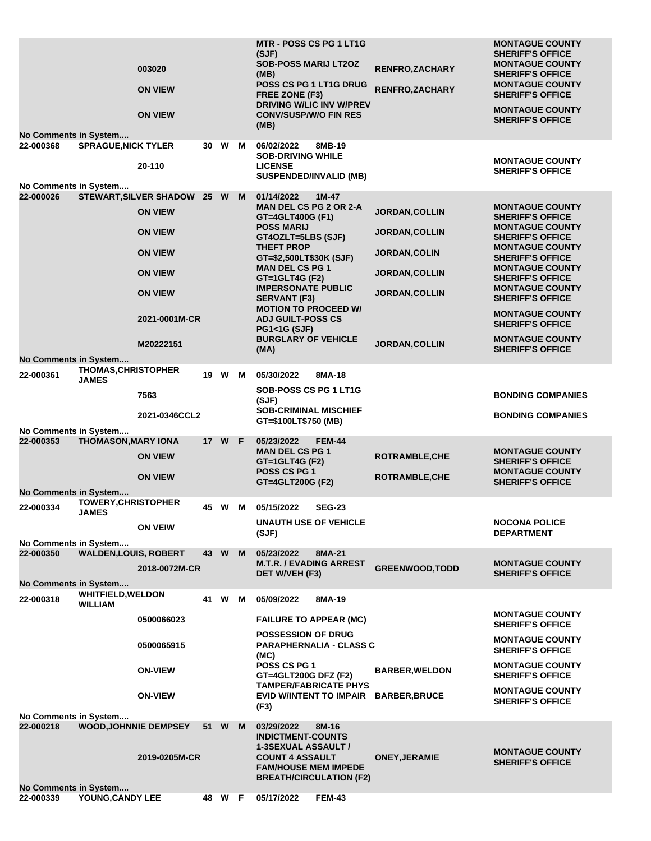|                                                                  | 003020<br><b>ON VIEW</b><br><b>ON VIEW</b> |    |        |   | <b>MTR - POSS CS PG 1 LT1G</b><br>(SJF)<br><b>SOB-POSS MARIJ LT2OZ</b><br>(MB)<br>POSS CS PG 1 LT1G DRUG<br>FREE ZONE (F3)<br><b>DRIVING W/LIC INV W/PREV</b><br><b>CONV/SUSP/W/O FIN RES</b> | <b>RENFRO, ZACHARY</b><br>RENFRO, ZACHARY | <b>MONTAGUE COUNTY</b><br><b>SHERIFF'S OFFICE</b><br><b>MONTAGUE COUNTY</b><br><b>SHERIFF'S OFFICE</b><br><b>MONTAGUE COUNTY</b><br><b>SHERIFF'S OFFICE</b><br><b>MONTAGUE COUNTY</b><br><b>SHERIFF'S OFFICE</b> |
|------------------------------------------------------------------|--------------------------------------------|----|--------|---|-----------------------------------------------------------------------------------------------------------------------------------------------------------------------------------------------|-------------------------------------------|------------------------------------------------------------------------------------------------------------------------------------------------------------------------------------------------------------------|
| <b>No Comments in System</b>                                     |                                            |    |        |   | (MB)                                                                                                                                                                                          |                                           |                                                                                                                                                                                                                  |
| 22-000368<br><b>SPRAGUE, NICK TYLER</b>                          | 20-110                                     | 30 | W      | м | 06/02/2022<br>8MB-19<br><b>SOB-DRIVING WHILE</b><br><b>LICENSE</b><br><b>SUSPENDED/INVALID (MB)</b>                                                                                           |                                           | <b>MONTAGUE COUNTY</b><br><b>SHERIFF'S OFFICE</b>                                                                                                                                                                |
| No Comments in System<br>22-000026                               | <b>STEWART, SILVER SHADOW</b>              |    | 25 W   | M | 01/14/2022<br>$1M-47$                                                                                                                                                                         |                                           |                                                                                                                                                                                                                  |
|                                                                  | <b>ON VIEW</b>                             |    |        |   | <b>MAN DEL CS PG 2 OR 2-A</b><br>GT=4GLT400G (F1)                                                                                                                                             | JORDAN, COLLIN                            | <b>MONTAGUE COUNTY</b><br><b>SHERIFF'S OFFICE</b>                                                                                                                                                                |
|                                                                  | <b>ON VIEW</b>                             |    |        |   | <b>POSS MARIJ</b><br>GT4OZLT=5LBS (SJF)<br><b>THEFT PROP</b>                                                                                                                                  | <b>JORDAN, COLLIN</b>                     | <b>MONTAGUE COUNTY</b><br><b>SHERIFF'S OFFICE</b><br><b>MONTAGUE COUNTY</b>                                                                                                                                      |
|                                                                  | <b>ON VIEW</b>                             |    |        |   | GT=\$2,500LT\$30K (SJF)                                                                                                                                                                       | <b>JORDAN, COLIN</b>                      | <b>SHERIFF'S OFFICE</b>                                                                                                                                                                                          |
|                                                                  | <b>ON VIEW</b>                             |    |        |   | <b>MAN DEL CS PG 1</b><br>GT=1GLT4G (F2)<br><b>IMPERSONATE PUBLIC</b>                                                                                                                         | <b>JORDAN, COLLIN</b>                     | <b>MONTAGUE COUNTY</b><br><b>SHERIFF'S OFFICE</b><br><b>MONTAGUE COUNTY</b>                                                                                                                                      |
|                                                                  | <b>ON VIEW</b>                             |    |        |   | <b>SERVANT (F3)</b>                                                                                                                                                                           | <b>JORDAN,COLLIN</b>                      | <b>SHERIFF'S OFFICE</b>                                                                                                                                                                                          |
|                                                                  | 2021-0001M-CR                              |    |        |   | <b>MOTION TO PROCEED W/</b><br><b>ADJ GUILT-POSS CS</b><br><b>PG1&lt;1G (SJF)</b>                                                                                                             |                                           | <b>MONTAGUE COUNTY</b><br><b>SHERIFF'S OFFICE</b>                                                                                                                                                                |
|                                                                  | M20222151                                  |    |        |   | <b>BURGLARY OF VEHICLE</b><br>(MA)                                                                                                                                                            | JORDAN, COLLIN                            | <b>MONTAGUE COUNTY</b><br><b>SHERIFF'S OFFICE</b>                                                                                                                                                                |
| No Comments in System<br><b>THOMAS, CHRISTOPHER</b><br>22-000361 |                                            |    | 19 W   | M | 05/30/2022<br>8MA-18                                                                                                                                                                          |                                           |                                                                                                                                                                                                                  |
| <b>JAMES</b>                                                     | 7563                                       |    |        |   | SOB-POSS CS PG 1 LT1G<br>(SJF)                                                                                                                                                                |                                           | <b>BONDING COMPANIES</b>                                                                                                                                                                                         |
|                                                                  | 2021-0346CCL2                              |    |        |   | <b>SOB-CRIMINAL MISCHIEF</b>                                                                                                                                                                  |                                           | <b>BONDING COMPANIES</b>                                                                                                                                                                                         |
| No Comments in System                                            |                                            |    |        |   | GT=\$100LT\$750 (MB)                                                                                                                                                                          |                                           |                                                                                                                                                                                                                  |
| 22-000353<br><b>THOMASON, MARY IONA</b>                          | <b>ON VIEW</b>                             |    | 17 W F |   | 05/23/2022<br><b>FEM-44</b><br><b>MAN DEL CS PG 1</b>                                                                                                                                         | <b>ROTRAMBLE, CHE</b>                     | <b>MONTAGUE COUNTY</b>                                                                                                                                                                                           |
|                                                                  | <b>ON VIEW</b>                             |    |        |   | <b>GT=1GLT4G (F2)</b><br><b>POSS CS PG 1</b><br>GT=4GLT200G (F2)                                                                                                                              | <b>ROTRAMBLE, CHE</b>                     | <b>SHERIFF'S OFFICE</b><br><b>MONTAGUE COUNTY</b><br><b>SHERIFF'S OFFICE</b>                                                                                                                                     |
| <b>No Comments in System</b>                                     |                                            |    |        |   |                                                                                                                                                                                               |                                           |                                                                                                                                                                                                                  |
| 22-000334<br><b>JAMES</b>                                        | <b>TOWERY, CHRISTOPHER</b>                 |    | 45 W   | м | 05/15/2022<br><b>SEG-23</b><br><b>UNAUTH USE OF VEHICLE</b>                                                                                                                                   |                                           | <b>NOCONA POLICE</b>                                                                                                                                                                                             |
|                                                                  | <b>ON VEIW</b>                             |    |        |   | (SJF)                                                                                                                                                                                         |                                           | <b>DEPARTMENT</b>                                                                                                                                                                                                |
| No Comments in System<br>22-000350                               | <b>WALDEN, LOUIS, ROBERT</b>               |    | 43 W M |   | 8MA-21<br>05/23/2022                                                                                                                                                                          |                                           |                                                                                                                                                                                                                  |
|                                                                  | 2018-0072M-CR                              |    |        |   | <b>M.T.R. / EVADING ARREST</b><br>DET W/VEH (F3)                                                                                                                                              | <b>GREENWOOD, TODD</b>                    | <b>MONTAGUE COUNTY</b><br><b>SHERIFF'S OFFICE</b>                                                                                                                                                                |
| <b>No Comments in System</b>                                     |                                            |    |        |   |                                                                                                                                                                                               |                                           |                                                                                                                                                                                                                  |
| <b>WHITFIELD, WELDON</b><br>22-000318<br><b>WILLIAM</b>          |                                            | 41 | W      | M | 05/09/2022<br>8MA-19                                                                                                                                                                          |                                           | <b>MONTAGUE COUNTY</b>                                                                                                                                                                                           |
|                                                                  | 0500066023                                 |    |        |   | <b>FAILURE TO APPEAR (MC)</b><br><b>POSSESSION OF DRUG</b>                                                                                                                                    |                                           | <b>SHERIFF'S OFFICE</b><br><b>MONTAGUE COUNTY</b>                                                                                                                                                                |
|                                                                  | 0500065915                                 |    |        |   | <b>PARAPHERNALIA - CLASS C</b><br>(MC)<br>POSS CS PG 1                                                                                                                                        |                                           | <b>SHERIFF'S OFFICE</b><br><b>MONTAGUE COUNTY</b>                                                                                                                                                                |
|                                                                  | <b>ON-VIEW</b>                             |    |        |   | GT=4GLT200G DFZ (F2)                                                                                                                                                                          | <b>BARBER, WELDON</b>                     | <b>SHERIFF'S OFFICE</b>                                                                                                                                                                                          |
|                                                                  | <b>ON-VIEW</b>                             |    |        |   | <b>TAMPER/FABRICATE PHYS</b><br><b>EVID W/INTENT TO IMPAIR</b><br>(F3)                                                                                                                        | <b>BARBER, BRUCE</b>                      | <b>MONTAGUE COUNTY</b><br><b>SHERIFF'S OFFICE</b>                                                                                                                                                                |
| No Comments in System                                            |                                            |    |        |   |                                                                                                                                                                                               |                                           |                                                                                                                                                                                                                  |
| 22-000218                                                        | <b>WOOD, JOHNNIE DEMPSEY</b>               |    | 51 W   | M | 03/29/2022<br>8M-16<br><b>INDICTMENT-COUNTS</b><br>1-3SEXUAL ASSAULT /                                                                                                                        |                                           | <b>MONTAGUE COUNTY</b>                                                                                                                                                                                           |
|                                                                  | 2019-0205M-CR                              |    |        |   | <b>COUNT 4 ASSAULT</b><br><b>FAM/HOUSE MEM IMPEDE</b><br><b>BREATH/CIRCULATION (F2)</b>                                                                                                       | <b>ONEY, JERAMIE</b>                      | <b>SHERIFF'S OFFICE</b>                                                                                                                                                                                          |
| <b>No Comments in System</b>                                     |                                            |    |        |   |                                                                                                                                                                                               |                                           |                                                                                                                                                                                                                  |
| YOUNG, CANDY LEE<br>22-000339                                    |                                            |    | 48 W F |   | 05/17/2022<br><b>FEM-43</b>                                                                                                                                                                   |                                           |                                                                                                                                                                                                                  |